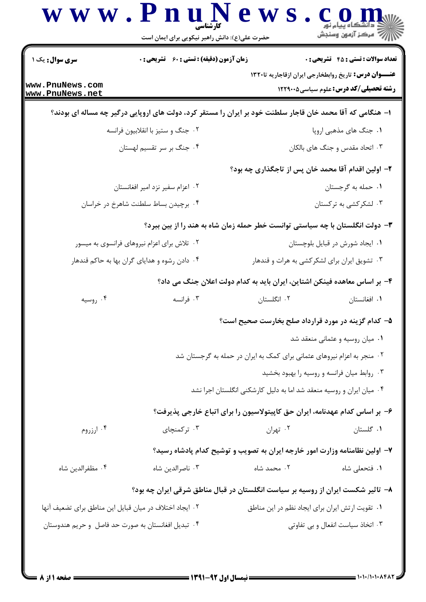| <b>سری سوال :</b> یک ۱                                  | <b>زمان آزمون (دقیقه) : تستی : 60 ٪ تشریحی : 0</b>                                                         |                                                                         | <b>تعداد سوالات : تستی : 45 - تشریحی : 0</b>                                                                |  |
|---------------------------------------------------------|------------------------------------------------------------------------------------------------------------|-------------------------------------------------------------------------|-------------------------------------------------------------------------------------------------------------|--|
| www.PnuNews.com<br>www.PnuNews.net                      |                                                                                                            |                                                                         | <b>عنـــوان درس:</b> تاریخ روابطخارجی ایران ازقاجاریه تا۱۳۲۰<br><b>رشته تحصیلی/کد درس:</b> علوم سیاسی5۲۲۹۰۰ |  |
|                                                         | ا– هنگامی که آقا محمد خان قاجار سلطنت خود بر ایران را مستقر کرد، دولت های اروپایی درگیر چه مساله ای بودند؟ |                                                                         |                                                                                                             |  |
| ۰۲ جنگ و ستیز با انقلابیون فرانسه                       |                                                                                                            | ۰۱ جنگ های مذهبی اروپا                                                  |                                                                                                             |  |
|                                                         | ۰۴ جنگ بر سر تقسیم لهستان                                                                                  | ۰۳ اتحاد مقدس و جنگ های بالکان                                          |                                                                                                             |  |
|                                                         |                                                                                                            | ۲– اولین اقدام آقا محمد خان پس از تاجگذاری چه بود؟                      |                                                                                                             |  |
| ۲. اعزام سفیر نزد امیر افغانستان                        |                                                                                                            | ٠١. حمله به گرجستان                                                     |                                                                                                             |  |
| ۰۴ برچیدن بساط سلطنت شاهرخ در خراسان                    |                                                                                                            |                                                                         | ۰۳ لشکرکشی به ترکستان                                                                                       |  |
|                                                         | ۳- دولت انگلستان با چه سیاستی توانست خطر حمله زمان شاه به هند را از بین ببرد؟                              |                                                                         |                                                                                                             |  |
| ۰۲ تلاش برای اعزام نیروهای فرانسوی به میسور             |                                                                                                            | ٠١ ايجاد شورش در قبايل بلوچستان                                         |                                                                                                             |  |
|                                                         | ۰۴ دادن رشوه و هدایای گران بها به حاکم قندهار                                                              | ۰۳ تشویق ایران برای لشکرکشی به هرات و قندهار                            |                                                                                                             |  |
|                                                         | ۴– بر اساس معاهده فینکن اشتاین، ایران باید به کدام دولت اعلان جنگ می داد؟                                  |                                                                         |                                                                                                             |  |
| ۰۴ روسیه                                                | ۰۳ فرانسه                                                                                                  | ۰۲ انگلستان                                                             | ۰۱ افغانستان                                                                                                |  |
|                                                         |                                                                                                            | ۵– کدام گزینه در مورد قرارداد صلح بخارست صحیح است؟                      |                                                                                                             |  |
|                                                         | ۰۱ میان روسیه و عثمانی منعقد شد                                                                            |                                                                         |                                                                                                             |  |
|                                                         |                                                                                                            | ۰۲ منجر به اعزام نیروهای عثمانی برای کمک به ایران در حمله به گرجستان شد |                                                                                                             |  |
|                                                         |                                                                                                            |                                                                         | ۰۳ روابط میان فرانسه و روسیه را بهبود بخشید                                                                 |  |
|                                                         |                                                                                                            | ۰۴ میان ایران و روسیه منعقد شد اما به دلیل کارشکنی انگلستان اجرا نشد    |                                                                                                             |  |
|                                                         | ۶– بر اساس کدام عهدنامه، ایران حق کاپیتولاسیون را برای اتباع خارجی پذیرفت؟                                 |                                                                         |                                                                                                             |  |
| ۰۴ ارزروم                                               | ۰۳ ترکمنچای                                                                                                | ۰۲ تهران                                                                | ٠١ گلستان                                                                                                   |  |
|                                                         | ۷- اولین نظامنامه وزارت امور خارجه ایران به تصویب و توشیح کدام پادشاه رسید؟                                |                                                                         |                                                                                                             |  |
| ۰۴ مظفرالدين شاه                                        | ۰۳ ناصرالدين شاه                                                                                           | ۰۲ محمد شاه                                                             | ۰۱ فتحعلی شاه                                                                                               |  |
|                                                         | ۸– تاثیر شکست ایران از روسیه بر سیاست انگلستان در قبال مناطق شرقی ایران چه بود؟                            |                                                                         |                                                                                                             |  |
| ٢. ايجاد اختلاف در ميان قبايل اين مناطق براي تضعيف آنها |                                                                                                            | ٠١ تقويت ارتش ايران براى ايجاد نظم در اين مناطق                         |                                                                                                             |  |
| ۰۴ تبدیل افغانستان به صورت حد فاصل و حریم هندوستان      |                                                                                                            |                                                                         | ۰۳ اتخاذ سیاست انفعال و بی تفاوتی                                                                           |  |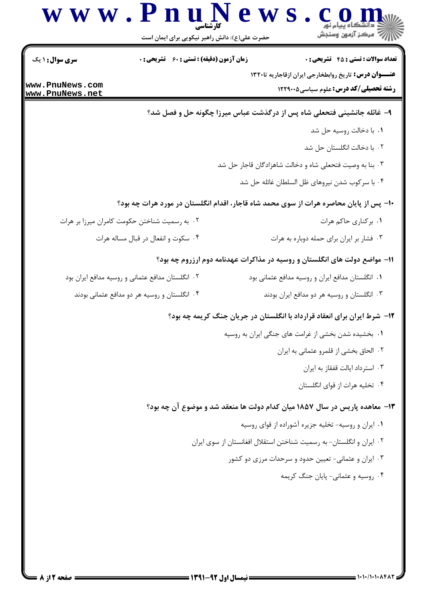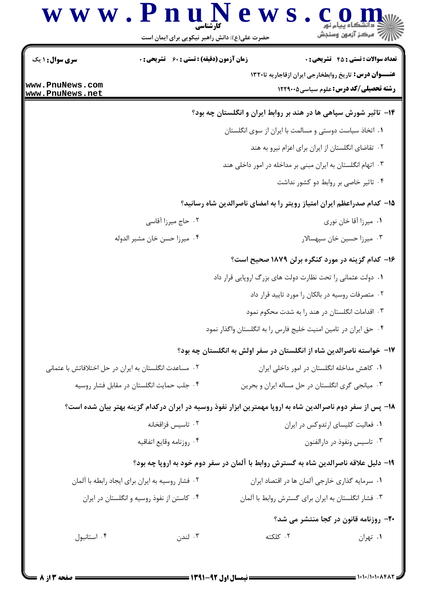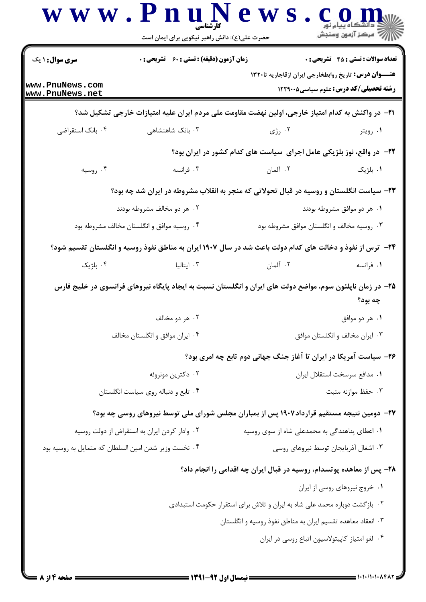| <b>سری سوال : ۱ یک</b>                               | <b>زمان آزمون (دقیقه) : تستی : 60 ٪ تشریحی : 0</b>                                                                |                                                                           | <b>تعداد سوالات : تستی : 45 گشریحی : 0</b>   |
|------------------------------------------------------|-------------------------------------------------------------------------------------------------------------------|---------------------------------------------------------------------------|----------------------------------------------|
| www.PnuNews.com<br>www.PnuNews.net                   |                                                                                                                   | <b>عنــــوان درس:</b> تاریخ روابطخارجی ایران ازقاجاریه تا۱۳۲۰             | <b>رشته تحصیلی/کد درس:</b> علوم سیاسی1۲۲۹۰۰۵ |
|                                                      | <b>ا۲−</b> در واکنش به کدام امتیاز خارجی، اولین نهضت مقاومت ملی مردم ایران علیه امتیازات خارجی تشکیل شد؟          |                                                                           |                                              |
| ۰۴ بانک استقراضی                                     | ۰۳ بانک شاهنشاهی                                                                                                  | ۰۲ رژی                                                                    | ۰۱ رويتر                                     |
|                                                      |                                                                                                                   | ۲۲– در واقع، نوز بلژیکی عامل اجرای سیاست های کدام کشور در ایران بود؟      |                                              |
| ۰۴ روسیه                                             | ۰۳ فرانسه                                                                                                         | ۰۲ آلمان                                                                  | ۰۱ بلژیک                                     |
|                                                      | ۲۳- سیاست انگلستان و روسیه در قبال تحولاتی که منجر به انقلاب مشروطه در ایران شد چه بود؟                           |                                                                           |                                              |
|                                                      | ۰۲ هر دو مخالف مشروطه بودند                                                                                       |                                                                           | ۰۱ هر دو موافق مشروطه بودند                  |
| ۰۴ روسیه موافق و انگلستان مخالف مشروطه بود           |                                                                                                                   | ۰۳ روسیه مخالف و انگلستان موافق مشروطه بود                                |                                              |
|                                                      | <b>۲۴</b> - ترس از نفوذ و دخالت های کدام دولت باعث شد در سال ۱۹۰۷ ایران به مناطق نفوذ روسیه و انگلستان تقسیم شود؟ |                                                                           |                                              |
| ۰۴ بلژیک                                             | ۰۳ ایتالیا                                                                                                        | ۰۲ آلمان                                                                  | ۰۱ فرانسه                                    |
|                                                      | ۲۵– در زمان ناپلئون سوم، مواضع دولت های ایران و انگلستان نسبت به ایجاد پایگاه نیروهای فرانسوی در خلیج فارس        |                                                                           | چه بود؟                                      |
|                                                      | ۰۲ هر دو مخالف                                                                                                    |                                                                           | ۰۱ هر دو موافق                               |
| ۰۴ ایران موافق و انگلستان مخالف                      |                                                                                                                   | ۰۳ ایران مخالف و انگلستان موافق                                           |                                              |
|                                                      |                                                                                                                   | ۲۶- سیاست آمریکا در ایران تا آغاز جنگ جهانی دوم تابع چه امری بود؟         |                                              |
|                                                      | ۰۲ دکترین مونروئه                                                                                                 |                                                                           | ٠١ مدافع سرسخت استقلال ايران                 |
|                                                      | ۰۴ تابع و دنباله روی سیاست انگلستان                                                                               |                                                                           | ۰۳ حفظ موازنه مثبت                           |
|                                                      | ۲۷– دومین نتیجه مستقیم قرارداد۱۹۰۷ پس از بمباران مجلس شورای ملی توسط نیروهای روسی چه بود؟                         |                                                                           |                                              |
|                                                      | ۰۲ وادار کردن ایران به استقراض از دولت روسیه                                                                      | ۰۱ اعطای پناهندگی به محمدعلی شاه از سوی روسیه                             |                                              |
| ۰۴ نخست وزير شدن امين السلطان كه متمايل به روسيه بود |                                                                                                                   |                                                                           | ۰۳ اشغال آذربایجان توسط نیروهای روسی         |
|                                                      |                                                                                                                   | ۲۸- پس از معاهده پوتسدام، روسیه در قبال ایران چه اقدامی را انجام داد؟     |                                              |
|                                                      |                                                                                                                   |                                                                           | ۰۱ خروج نیروهای روسی از ایران                |
|                                                      |                                                                                                                   | ۰۲ بازگشت دوباره محمد علی شاه به ایران و تلاش برای استقرار حکومت استبدادی |                                              |
|                                                      |                                                                                                                   | ۰۳ انعقاد معاهده تقسیم ایران به مناطق نفوذ روسیه و انگلستان               |                                              |

= 1.1./1.1.848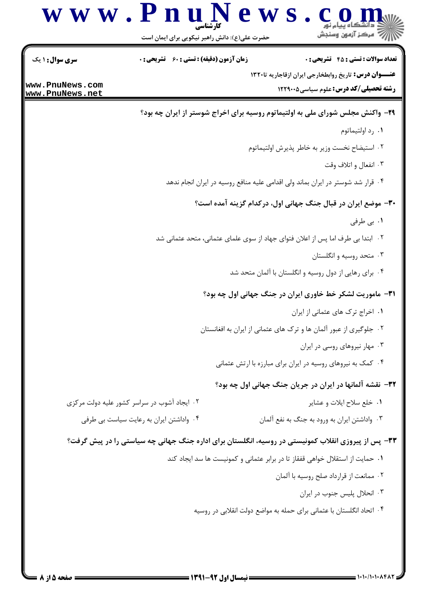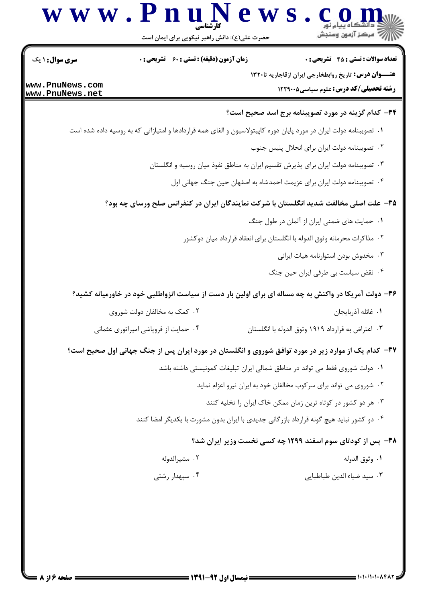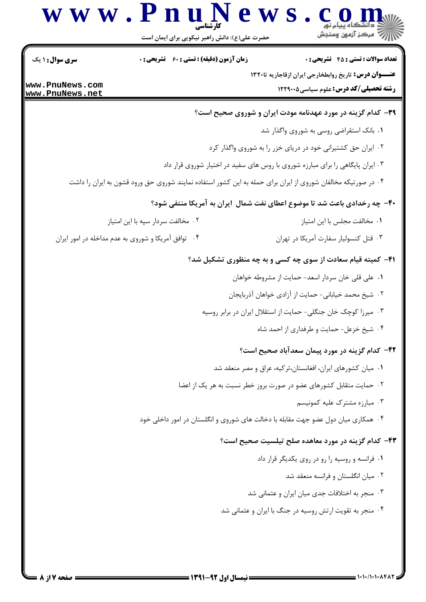